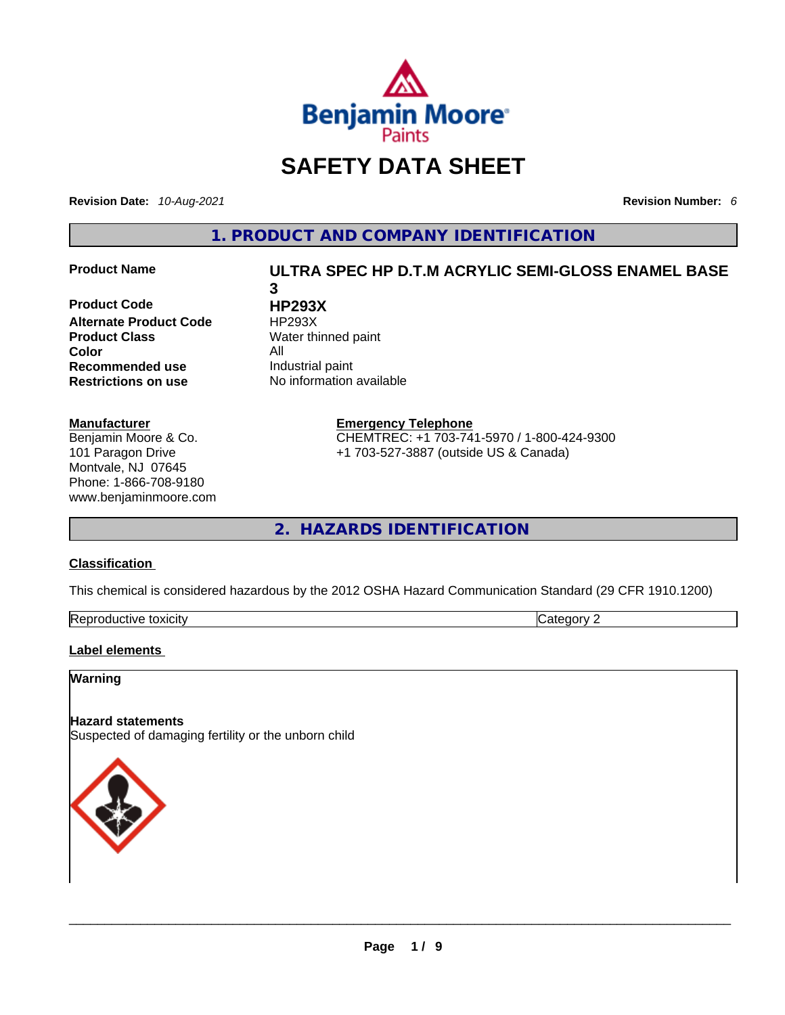

# **SAFETY DATA SHEET**

**Revision Date:** *10-Aug-2021* **Revision Number:** *6*

**1. PRODUCT AND COMPANY IDENTIFICATION** 

**Product Code HP293X Alternate Product Code HP293X Product Class Water thinned paint Color**<br> **Recommended use All** Industrial paint **Recommended use**<br>**Restrictions on use** 

#### **Manufacturer**

Benjamin Moore & Co. 101 Paragon Drive Montvale, NJ 07645 Phone: 1-866-708-9180 www.benjaminmoore.com

## **Product Name ULTRA SPEC HP D.T.M ACRYLIC SEMI-GLOSS ENAMEL BASE 3**

**No information available** 

**Emergency Telephone**

CHEMTREC: +1 703-741-5970 / 1-800-424-9300 +1 703-527-3887 (outside US & Canada)

**2. HAZARDS IDENTIFICATION** 

### **Classification**

This chemical is considered hazardous by the 2012 OSHA Hazard Communication Standard (29 CFR 1910.1200)

| Repro<br>toxicity<br>vauctive t |  |
|---------------------------------|--|
|---------------------------------|--|

#### **Label elements**

#### **Warning**

#### **Hazard statements**

Suspected of damaging fertility or the unborn child

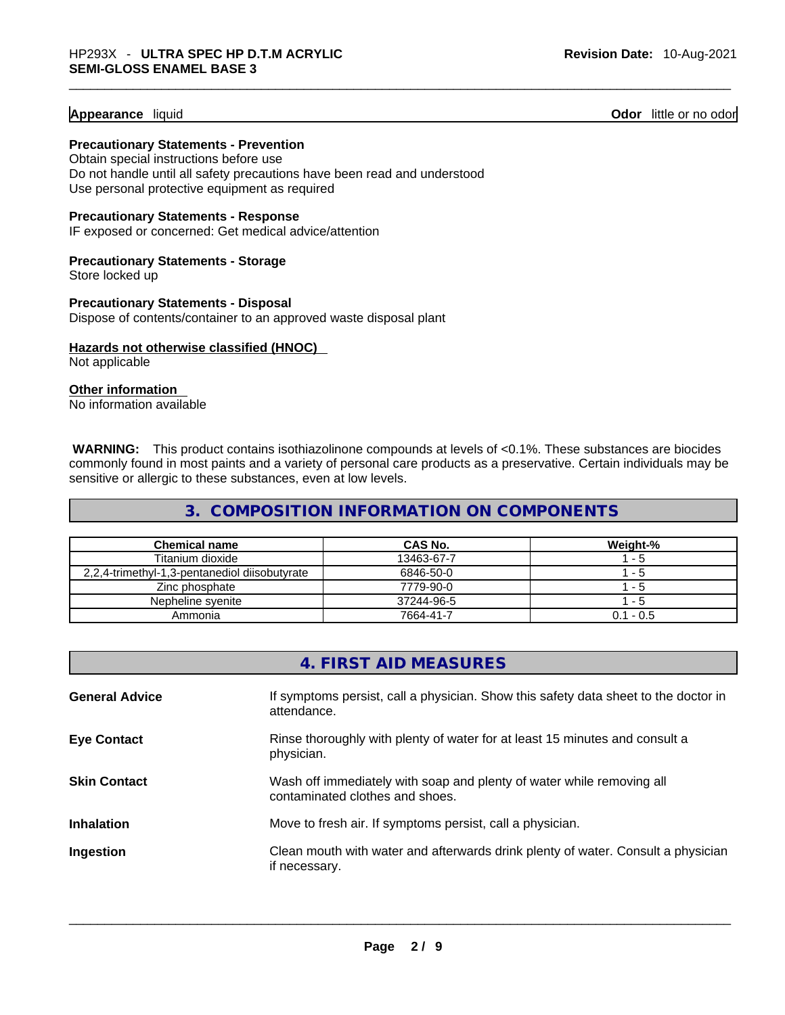#### **Appearance** liquid **Odor 11** and **Odor 11** and **Odor 11** and **Odor 11** and **Odor** 11 and **Odor** 11 and **Odor** 11 and **Odor** 11 and **Odor** 11 and **Odor** 11 and **Odor** 11 and **Odor** 11 and **Odor** 11 and **Odor** 11 and **Odor**

## **Precautionary Statements - Prevention**

Obtain special instructions before use Do not handle until all safety precautions have been read and understood Use personal protective equipment as required

#### **Precautionary Statements - Response**

IF exposed or concerned: Get medical advice/attention

#### **Precautionary Statements - Storage** Store locked up

**Precautionary Statements - Disposal**

Dispose of contents/container to an approved waste disposal plant

## **Hazards not otherwise classified (HNOC)**

Not applicable

#### **Other information**

No information available

 **WARNING:** This product contains isothiazolinone compounds at levels of <0.1%. These substances are biocides commonly found in most paints and a variety of personal care products as a preservative. Certain individuals may be sensitive or allergic to these substances, even at low levels.

## **3. COMPOSITION INFORMATION ON COMPONENTS**

| <b>Chemical name</b>                          | CAS No.    | Weight-%    |
|-----------------------------------------------|------------|-------------|
| Titanium dioxide                              | 13463-67-7 | l - 5       |
| 2,2,4-trimethyl-1,3-pentanediol diisobutyrate | 6846-50-0  | l - 5       |
| Zinc phosphate                                | 7779-90-0  | - 5         |
| Nepheline syenite                             | 37244-96-5 | l - 5       |
| Ammonia                                       | 7664-41-7  | $0.1 - 0.5$ |

|                       | 4. FIRST AID MEASURES                                                                                    |
|-----------------------|----------------------------------------------------------------------------------------------------------|
| <b>General Advice</b> | If symptoms persist, call a physician. Show this safety data sheet to the doctor in<br>attendance.       |
| <b>Eye Contact</b>    | Rinse thoroughly with plenty of water for at least 15 minutes and consult a<br>physician.                |
| <b>Skin Contact</b>   | Wash off immediately with soap and plenty of water while removing all<br>contaminated clothes and shoes. |
| <b>Inhalation</b>     | Move to fresh air. If symptoms persist, call a physician.                                                |
| Ingestion             | Clean mouth with water and afterwards drink plenty of water. Consult a physician<br>if necessary.        |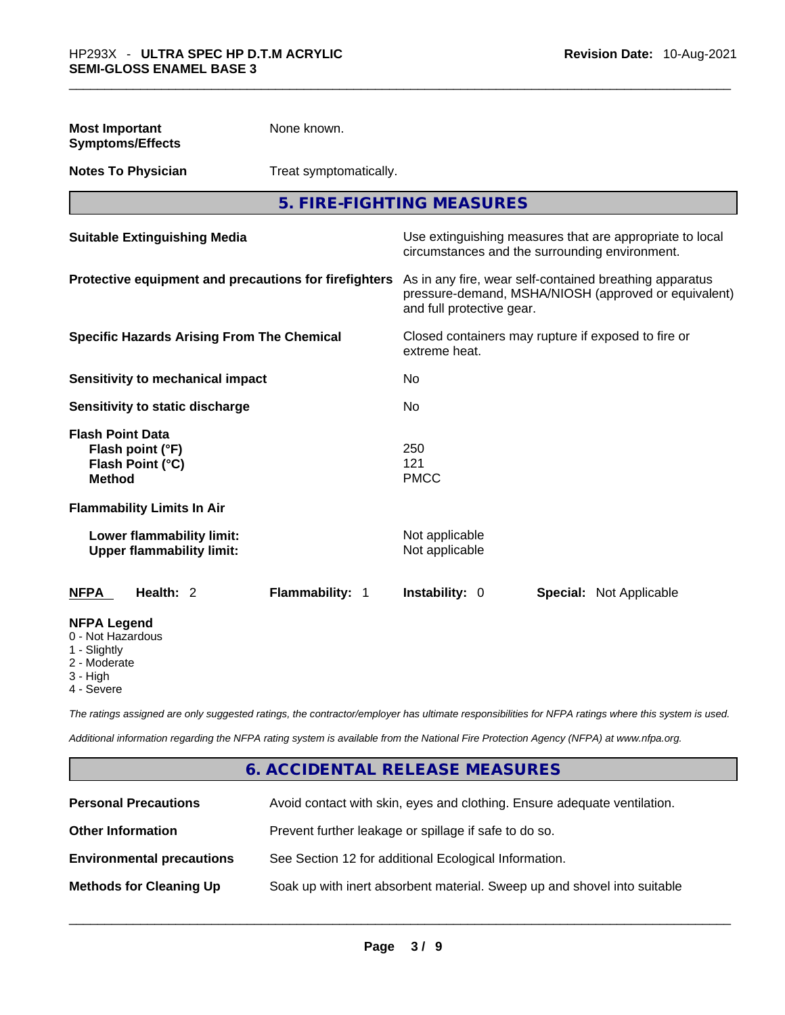| <b>Most Important</b><br><b>Symptoms/Effects</b>                                                  | None known.            |                                                                                                                                              |                                                                                                            |  |
|---------------------------------------------------------------------------------------------------|------------------------|----------------------------------------------------------------------------------------------------------------------------------------------|------------------------------------------------------------------------------------------------------------|--|
| <b>Notes To Physician</b>                                                                         | Treat symptomatically. |                                                                                                                                              |                                                                                                            |  |
|                                                                                                   |                        | 5. FIRE-FIGHTING MEASURES                                                                                                                    |                                                                                                            |  |
| <b>Suitable Extinguishing Media</b>                                                               |                        |                                                                                                                                              | Use extinguishing measures that are appropriate to local<br>circumstances and the surrounding environment. |  |
| Protective equipment and precautions for firefighters                                             |                        | As in any fire, wear self-contained breathing apparatus<br>pressure-demand, MSHA/NIOSH (approved or equivalent)<br>and full protective gear. |                                                                                                            |  |
| <b>Specific Hazards Arising From The Chemical</b>                                                 |                        | extreme heat.                                                                                                                                | Closed containers may rupture if exposed to fire or                                                        |  |
| <b>Sensitivity to mechanical impact</b>                                                           |                        | No                                                                                                                                           |                                                                                                            |  |
| Sensitivity to static discharge                                                                   |                        | No                                                                                                                                           |                                                                                                            |  |
| <b>Flash Point Data</b><br>Flash point (°F)<br>Flash Point (°C)<br><b>Method</b>                  |                        | 250<br>121<br><b>PMCC</b>                                                                                                                    |                                                                                                            |  |
| <b>Flammability Limits In Air</b>                                                                 |                        |                                                                                                                                              |                                                                                                            |  |
| Lower flammability limit:<br><b>Upper flammability limit:</b>                                     |                        | Not applicable<br>Not applicable                                                                                                             |                                                                                                            |  |
| <b>NFPA</b><br>Health: 2                                                                          | Flammability: 1        | Instability: 0                                                                                                                               | <b>Special: Not Applicable</b>                                                                             |  |
| <b>NFPA Legend</b><br>0 - Not Hazardous<br>1 - Slightly<br>2 - Moderate<br>3 - High<br>4 - Severe |                        |                                                                                                                                              |                                                                                                            |  |

*The ratings assigned are only suggested ratings, the contractor/employer has ultimate responsibilities for NFPA ratings where this system is used.* 

*Additional information regarding the NFPA rating system is available from the National Fire Protection Agency (NFPA) at www.nfpa.org.* 

## **6. ACCIDENTAL RELEASE MEASURES**

| <b>Personal Precautions</b>      | Avoid contact with skin, eyes and clothing. Ensure adequate ventilation. |
|----------------------------------|--------------------------------------------------------------------------|
| <b>Other Information</b>         | Prevent further leakage or spillage if safe to do so.                    |
| <b>Environmental precautions</b> | See Section 12 for additional Ecological Information.                    |
| <b>Methods for Cleaning Up</b>   | Soak up with inert absorbent material. Sweep up and shovel into suitable |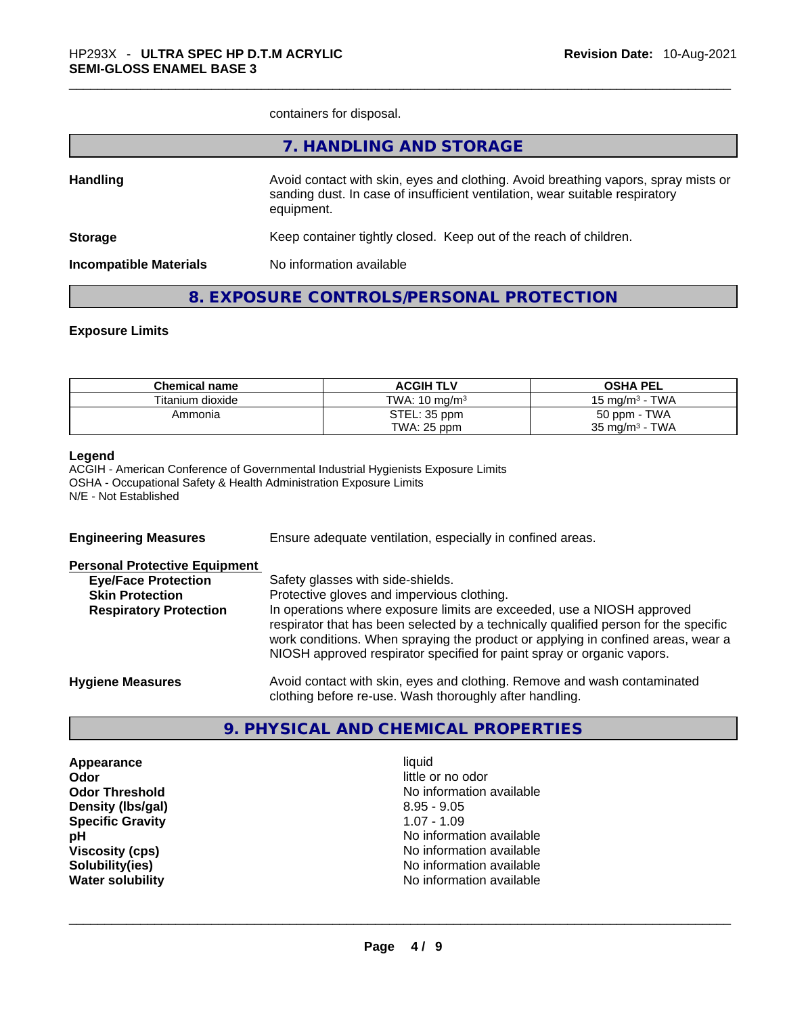containers for disposal.

|                               | 7. HANDLING AND STORAGE                                                                                                                                                          |
|-------------------------------|----------------------------------------------------------------------------------------------------------------------------------------------------------------------------------|
| <b>Handling</b>               | Avoid contact with skin, eyes and clothing. Avoid breathing vapors, spray mists or<br>sanding dust. In case of insufficient ventilation, wear suitable respiratory<br>equipment. |
| <b>Storage</b>                | Keep container tightly closed. Keep out of the reach of children.                                                                                                                |
| <b>Incompatible Materials</b> | No information available                                                                                                                                                         |
|                               |                                                                                                                                                                                  |

## **8. EXPOSURE CONTROLS/PERSONAL PROTECTION**

#### **Exposure Limits**

| <b>Chemical name</b> | <b>ACGIH TLV</b>         | <b>OSHA PEL</b>                  |
|----------------------|--------------------------|----------------------------------|
| Titanium dioxide     | TWA: $10 \text{ ma/m}^3$ | - TWA<br>$15 \text{ ma/m}^3 - 1$ |
| Ammonia              | STEL: 35 ppm             | 50 ppm - TWA                     |
|                      | TWA: 25 ppm              | $35 \text{ mg/m}^3$ - TWA        |

#### **Legend**

ACGIH - American Conference of Governmental Industrial Hygienists Exposure Limits OSHA - Occupational Safety & Health Administration Exposure Limits N/E - Not Established

| <b>Engineering Measures</b>                                                                                                   | Ensure adequate ventilation, especially in confined areas.                                                                                                                                                                                                                                                                                                                                                      |
|-------------------------------------------------------------------------------------------------------------------------------|-----------------------------------------------------------------------------------------------------------------------------------------------------------------------------------------------------------------------------------------------------------------------------------------------------------------------------------------------------------------------------------------------------------------|
| <b>Personal Protective Equipment</b><br><b>Eye/Face Protection</b><br><b>Skin Protection</b><br><b>Respiratory Protection</b> | Safety glasses with side-shields.<br>Protective gloves and impervious clothing.<br>In operations where exposure limits are exceeded, use a NIOSH approved<br>respirator that has been selected by a technically qualified person for the specific<br>work conditions. When spraying the product or applying in confined areas, wear a<br>NIOSH approved respirator specified for paint spray or organic vapors. |
| <b>Hygiene Measures</b>                                                                                                       | Avoid contact with skin, eyes and clothing. Remove and wash contaminated<br>clothing before re-use. Wash thoroughly after handling.                                                                                                                                                                                                                                                                             |

#### **9. PHYSICAL AND CHEMICAL PROPERTIES**

| Appearance              | liauid            |
|-------------------------|-------------------|
| Odor                    | little or no odor |
| <b>Odor Threshold</b>   | No information av |
| Density (Ibs/gal)       | $8.95 - 9.05$     |
| <b>Specific Gravity</b> | $1.07 - 1.09$     |
| рH                      | No information av |
| <b>Viscosity (cps)</b>  | No information av |
| Solubility(ies)         | No information av |
| <b>Water solubility</b> | No information av |

**Odor** little or no odor **No information available Density (lbs/gal)** 8.95 - 9.05 **Specific Gravity** 1.07 - 1.09 No information available **Viscosity (cps)** No information available **No information available Water solubility Water solubility and COVID-100** No information available and COVID-100 Noting the solution of the solution of the solution of the solution of the solution of the solution of the solution of the solution o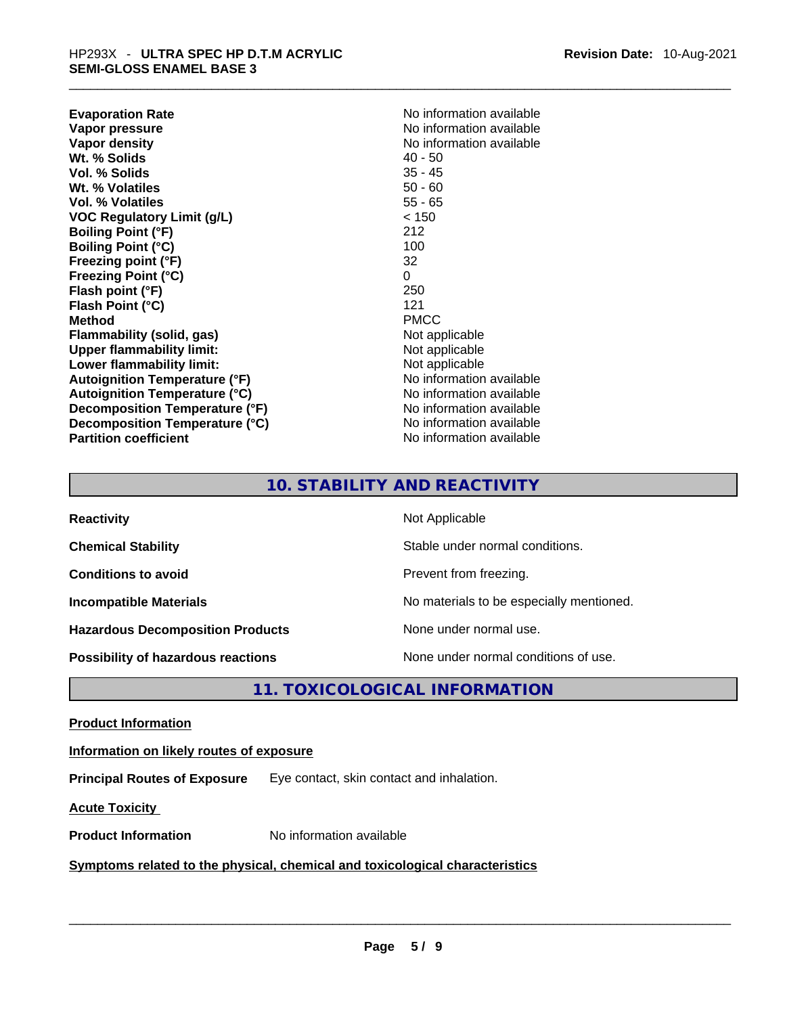| <b>Evaporation Rate</b>              | No information available |
|--------------------------------------|--------------------------|
| Vapor pressure                       | No information available |
| Vapor density                        | No information available |
| Wt. % Solids                         | $40 - 50$                |
| Vol. % Solids                        | $35 - 45$                |
| Wt. % Volatiles                      | $50 - 60$                |
| <b>Vol. % Volatiles</b>              | $55 - 65$                |
| VOC Regulatory Limit (g/L)           | < 150                    |
| <b>Boiling Point (°F)</b>            | 212                      |
| <b>Boiling Point (°C)</b>            | 100                      |
| Freezing point (°F)                  | 32                       |
| <b>Freezing Point (°C)</b>           | $\Omega$                 |
| Flash point (°F)                     | 250                      |
| Flash Point (°C)                     | 121                      |
| <b>Method</b>                        | <b>PMCC</b>              |
| <b>Flammability (solid, gas)</b>     | Not applicable           |
| <b>Upper flammability limit:</b>     | Not applicable           |
| Lower flammability limit:            | Not applicable           |
| <b>Autoignition Temperature (°F)</b> | No information available |
| <b>Autoignition Temperature (°C)</b> | No information available |
| Decomposition Temperature (°F)       | No information available |
| Decomposition Temperature (°C)       | No information available |
| <b>Partition coefficient</b>         | No information available |
|                                      |                          |

## **10. STABILITY AND REACTIVITY**

| <b>Reactivity</b>                       | Not Applicable                           |
|-----------------------------------------|------------------------------------------|
| <b>Chemical Stability</b>               | Stable under normal conditions.          |
| <b>Conditions to avoid</b>              | Prevent from freezing.                   |
| <b>Incompatible Materials</b>           | No materials to be especially mentioned. |
| <b>Hazardous Decomposition Products</b> | None under normal use.                   |
| Possibility of hazardous reactions      | None under normal conditions of use.     |

**11. TOXICOLOGICAL INFORMATION** 

**Product Information**

**Information on likely routes of exposure**

**Principal Routes of Exposure** Eye contact, skin contact and inhalation.

**Acute Toxicity** 

**Product Information** No information available \_\_\_\_\_\_\_\_\_\_\_\_\_\_\_\_\_\_\_\_\_\_\_\_\_\_\_\_\_\_\_\_\_\_\_\_\_\_\_\_\_\_\_\_\_\_\_\_\_\_\_\_\_\_\_\_\_\_\_\_\_\_\_\_\_\_\_\_\_\_\_\_\_\_\_\_\_\_\_\_\_\_\_\_\_\_\_\_\_\_\_\_\_ **<u>Symptoms related to the physical, chemical and toxicological characteristics</u>**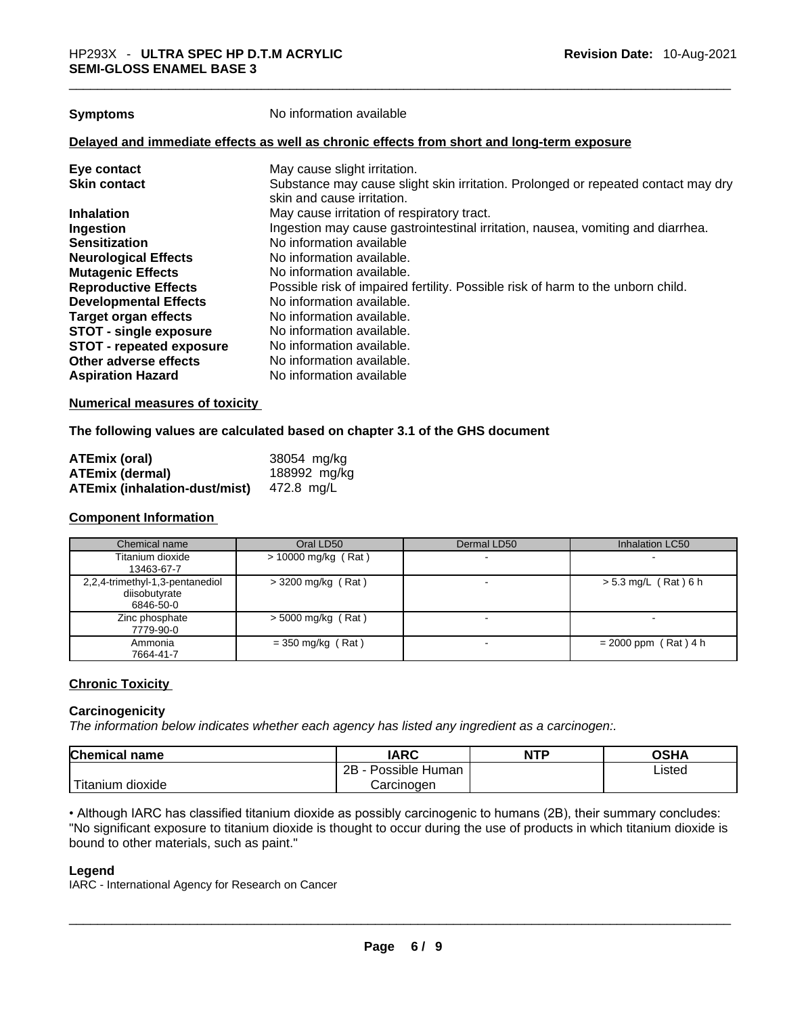**Symptoms** No information available

#### **Delayed and immediate effects as well as chronic effects from short and long-term exposure**

| May cause slight irritation.                                                      |
|-----------------------------------------------------------------------------------|
| Substance may cause slight skin irritation. Prolonged or repeated contact may dry |
| skin and cause irritation.                                                        |
| May cause irritation of respiratory tract.                                        |
| Ingestion may cause gastrointestinal irritation, nausea, vomiting and diarrhea.   |
| No information available                                                          |
| No information available.                                                         |
| No information available.                                                         |
| Possible risk of impaired fertility. Possible risk of harm to the unborn child.   |
| No information available.                                                         |
| No information available.                                                         |
| No information available.                                                         |
| No information available.                                                         |
| No information available.                                                         |
| No information available                                                          |
|                                                                                   |

#### **Numerical measures of toxicity**

#### **The following values are calculated based on chapter 3.1 of the GHS document**

| <b>ATEmix (oral)</b>                 | 38054 mg/kg  |
|--------------------------------------|--------------|
| <b>ATEmix (dermal)</b>               | 188992 mg/kg |
| <b>ATEmix (inhalation-dust/mist)</b> | 472.8 mg/L   |

#### **Component Information**

| Chemical name                                                 | Oral LD50             | Dermal LD50 | Inhalation LC50        |
|---------------------------------------------------------------|-----------------------|-------------|------------------------|
| Titanium dioxide<br>13463-67-7                                | $> 10000$ mg/kg (Rat) |             |                        |
| 2,2,4-trimethyl-1,3-pentanediol<br>diisobutyrate<br>6846-50-0 | $>$ 3200 mg/kg (Rat)  |             | $> 5.3$ mg/L (Rat) 6 h |
| Zinc phosphate<br>7779-90-0                                   | $>$ 5000 mg/kg (Rat)  |             |                        |
| Ammonia<br>7664-41-7                                          | $=$ 350 mg/kg (Rat)   |             | $= 2000$ ppm (Rat) 4 h |

#### **Chronic Toxicity**

#### **Carcinogenicity**

*The information below indicates whether each agency has listed any ingredient as a carcinogen:.* 

| <b>Chemical name</b>    | IARC                 | <b>NTP</b> | OSHA   |
|-------------------------|----------------------|------------|--------|
|                         | 2B<br>Possible Human |            | ∟isted |
| ' Titanium J<br>dioxide | Carcinoɑen           |            |        |

• Although IARC has classified titanium dioxide as possibly carcinogenic to humans (2B), their summary concludes: "No significant exposure to titanium dioxide is thought to occur during the use of products in which titanium dioxide is bound to other materials, such as paint." \_\_\_\_\_\_\_\_\_\_\_\_\_\_\_\_\_\_\_\_\_\_\_\_\_\_\_\_\_\_\_\_\_\_\_\_\_\_\_\_\_\_\_\_\_\_\_\_\_\_\_\_\_\_\_\_\_\_\_\_\_\_\_\_\_\_\_\_\_\_\_\_\_\_\_\_\_\_\_\_\_\_\_\_\_\_\_\_\_\_\_\_\_

#### **Legend**

IARC - International Agency for Research on Cancer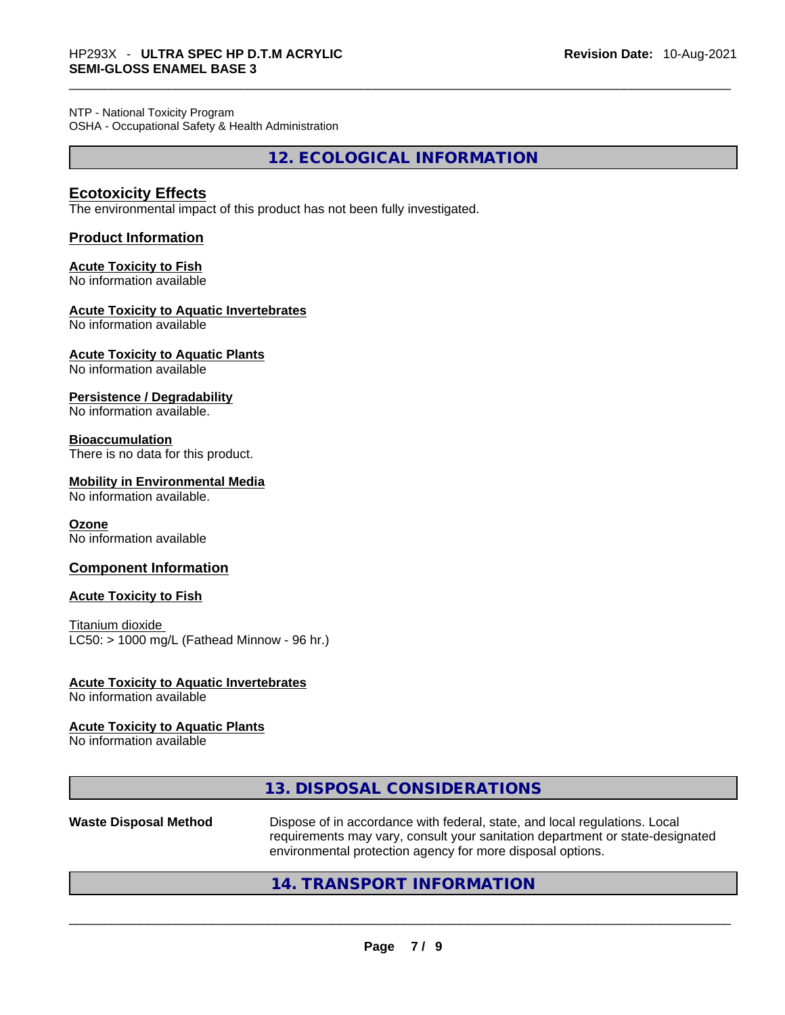NTP - National Toxicity Program OSHA - Occupational Safety & Health Administration

**12. ECOLOGICAL INFORMATION** 

### **Ecotoxicity Effects**

The environmental impact of this product has not been fully investigated.

#### **Product Information**

## **Acute Toxicity to Fish**

No information available

#### **Acute Toxicity to Aquatic Invertebrates**

No information available

**Acute Toxicity to Aquatic Plants**

No information available

**Persistence / Degradability**

No information available.

#### **Bioaccumulation**

There is no data for this product.

#### **Mobility in Environmental Media**

No information available.

#### **Ozone**

No information available

#### **Component Information**

#### **Acute Toxicity to Fish**

Titanium dioxide  $LC50:$  > 1000 mg/L (Fathead Minnow - 96 hr.)

#### **Acute Toxicity to Aquatic Invertebrates**

No information available

#### **Acute Toxicity to Aquatic Plants**

No information available

### **13. DISPOSAL CONSIDERATIONS**

**Waste Disposal Method** Dispose of in accordance with federal, state, and local regulations. Local requirements may vary, consult your sanitation department or state-designated environmental protection agency for more disposal options.<br>214. TRANSPORT INFORMATION<br>2006 - Paris Paris Protection and TRANSPORT INFORMATION

## **14. TRANSPORT INFORMATION**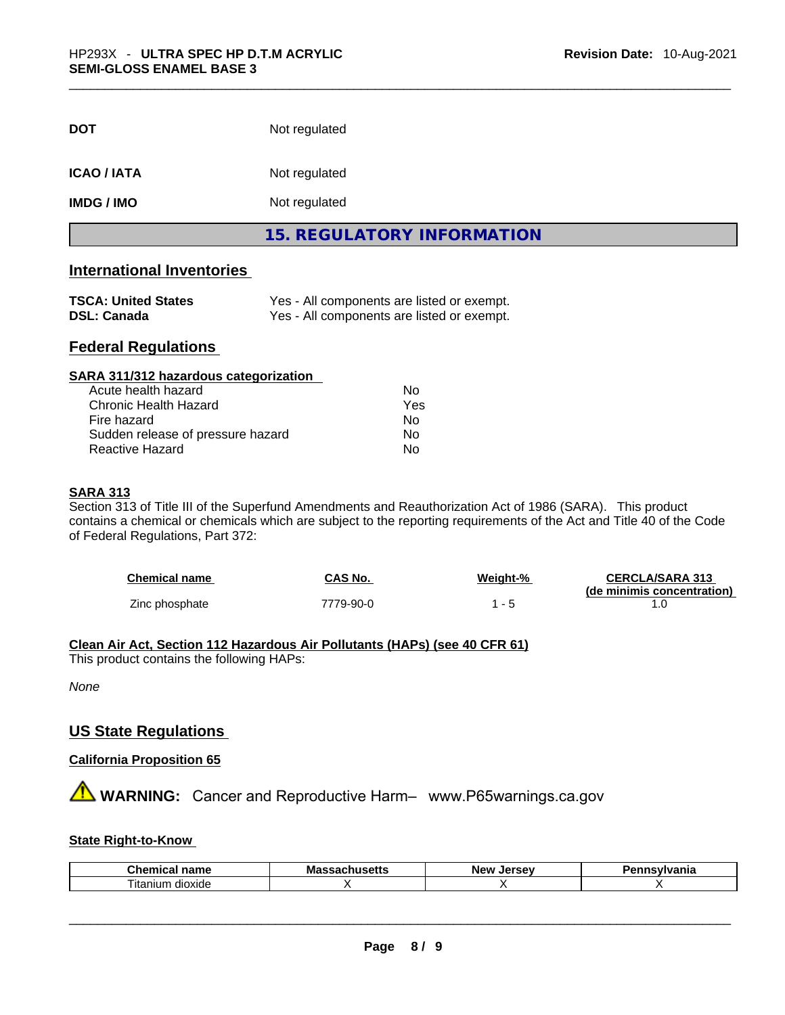| <b>DOT</b>        | Not regulated                     |  |
|-------------------|-----------------------------------|--|
| <b>ICAO/IATA</b>  | Not regulated                     |  |
| <b>IMDG / IMO</b> | Not regulated                     |  |
|                   | <b>15. REGULATORY INFORMATION</b> |  |

## **International Inventories**

| <b>TSCA: United States</b> | Yes - All components are listed or exempt. |
|----------------------------|--------------------------------------------|
| <b>DSL: Canada</b>         | Yes - All components are listed or exempt. |

## **Federal Regulations**

| SARA 311/312 hazardous categorization |     |  |
|---------------------------------------|-----|--|
| Acute health hazard                   | Nο  |  |
| Chronic Health Hazard                 | Yes |  |
| Fire hazard                           | No  |  |
| Sudden release of pressure hazard     | Nο  |  |
| <b>Reactive Hazard</b>                | No  |  |

#### **SARA 313**

Section 313 of Title III of the Superfund Amendments and Reauthorization Act of 1986 (SARA). This product contains a chemical or chemicals which are subject to the reporting requirements of the Act and Title 40 of the Code of Federal Regulations, Part 372:

| <b>Chemical name</b> | CAS No.   | Weight-% | <b>CERCLA/SARA 313</b>     |
|----------------------|-----------|----------|----------------------------|
|                      |           |          | (de minimis concentration) |
| Zinc phosphate       | 7779-90-0 |          |                            |

#### **Clean Air Act,Section 112 Hazardous Air Pollutants (HAPs) (see 40 CFR 61)**

This product contains the following HAPs:

*None*

#### **US State Regulations**

**California Proposition 65**

# **WARNING:** Cancer and Reproductive Harm– www.P65warnings.ca.gov

#### **State Right-to-Know**

| <b>Chemic</b><br>$ -$<br>ыны<br>111.71 | Mas<br>----<br>-- | New<br>Jersev | aauluania<br>Ήс |
|----------------------------------------|-------------------|---------------|-----------------|
| $\sim$<br><br>l itanium<br>dioxide     |                   |               |                 |